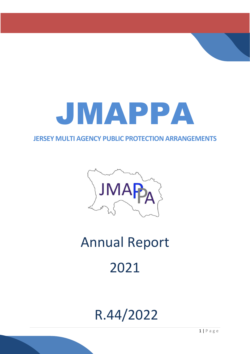

### **JERSEY MULTI AGENCY PUBLIC PROTECTION ARRANGEMENTS**



# Annual Report 2021

## R.44/2022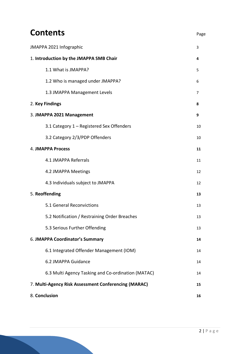## **Contents** Page

| JMAPPA 2021 Infographic                              |    |  |  |  |
|------------------------------------------------------|----|--|--|--|
| 1. Introduction by the JMAPPA SMB Chair              | 4  |  |  |  |
| 1.1 What is JMAPPA?                                  | 5  |  |  |  |
| 1.2 Who is managed under JMAPPA?                     | 6  |  |  |  |
| 1.3 JMAPPA Management Levels                         | 7  |  |  |  |
| 2. Key Findings                                      | 8  |  |  |  |
| 3. JMAPPA 2021 Management                            | 9  |  |  |  |
| 3.1 Category 1 - Registered Sex Offenders            | 10 |  |  |  |
| 3.2 Category 2/3/PDP Offenders                       | 10 |  |  |  |
| <b>4. JMAPPA Process</b>                             | 11 |  |  |  |
| 4.1 JMAPPA Referrals                                 | 11 |  |  |  |
| 4.2 JMAPPA Meetings                                  | 12 |  |  |  |
| 4.3 Individuals subject to JMAPPA                    | 12 |  |  |  |
| 5. Reoffending                                       | 13 |  |  |  |
| 5.1 General Reconvictions                            | 13 |  |  |  |
| 5.2 Notification / Restraining Order Breaches        | 13 |  |  |  |
| 5.3 Serious Further Offending                        | 13 |  |  |  |
| 6. JMAPPA Coordinator's Summary                      | 14 |  |  |  |
| 6.1 Integrated Offender Management (IOM)             | 14 |  |  |  |
| 6.2 JMAPPA Guidance                                  | 14 |  |  |  |
| 6.3 Multi Agency Tasking and Co-ordination (MATAC)   | 14 |  |  |  |
| 7. Multi-Agency Risk Assessment Conferencing (MARAC) | 15 |  |  |  |
| 8. Conclusion                                        | 16 |  |  |  |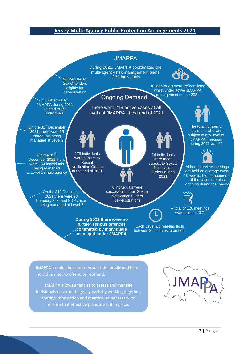#### **Jersey Multi-Agency Public Protection Arrangements 2021**

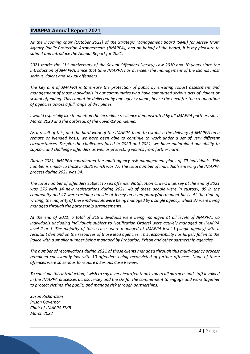#### **JMAPPA Annual Report 2021**

*As the incoming chair (October 2021) of the Strategic Management Board (SMB) for Jersey Multi Agency Public Protection Arrangements (JMAPPA), and on behalf of the board, it is my pleasure to submit and introduce the Annual Report for 2021.*

*2021 marks the 11th anniversary of the Sexual Offenders (Jersey) Law 2010 and 10 years since the introduction of JMAPPA. Since that time JMAPPA has overseen the management of the islands most serious violent and sexual offenders.*

*The key aim of JMAPPA is to ensure the protection of public by ensuring robust assessment and management of those individuals in our communities who have committed serious acts of violent or sexual offending. This cannot be delivered by one agency alone, hence the need for the co-operation of agencies across a full range of disciplines.*

*I would especially like to mention the incredible resilience demonstrated by all JMAPPA partners since March 2020 and the outbreak of the Covid-19 pandemic.* 

*As a result of this, and the hard work of the JMAPPA team to establish the delivery of JMAPPA on a remote or blended basis, we have been able to continue to work under a set of very different circumstances. Despite the challenges faced in 2020 and 2021, we have maintained our ability to support and challenge offenders as well as protecting victims from further harm.* 

*During 2021, JMAPPA coordinated the multi-agency risk management plans of 79 individuals. This number is similar to those in 2020 which was 77. The total number of individuals entering the JMAPPA process during 2021 was 34.*

*The total number of offenders subject to sex offender Notification Orders in Jersey at the end of 2021 was 176 with 14 new registrations during 2021. 40 of these people were in custody, 89 in the community and 47 were residing outside of Jersey on a temporary/permanent basis. At the time of writing, the majority of these individuals were being managed by a single agency, whilst 37 were being managed through the partnership arrangements.* 

*At the end of 2021, a total of 219 individuals were being managed at all levels of JMAPPA, 65 individuals (including individuals subject to Notification Orders) were actively managed at JMAPPA level 2 or 3. The majority of these cases were managed at JMAPPA level 1 (single agency) with a resultant demand on the resources of those lead agencies. This responsibility has largely fallen to the Police with a smaller number being managed by Probation, Prison and other partnership agencies.* 

*The number of reconvictions during 2021 of those clients managed through this multi-agency process remained consistently low with 10 offenders being reconvicted of further offences. None of these offences were so serious to require a Serious Case Review.* 

*To conclude this introduction, I wish to say a very heartfelt thank you to all partners and staff involved in the JMAPPA processes across Jersey and the UK for the commitment to engage and work together to protect victims, the public, and manage risk through partnerships.*

*Susan Richardson Prison Governor Chair of JMAPPA SMB March 2022*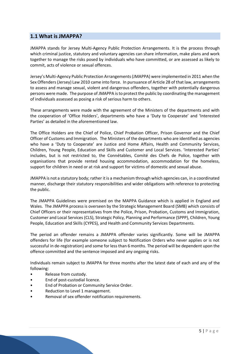#### **1.1 What is JMAPPA?**

JMAPPA stands for Jersey Multi-Agency Public Protection Arrangements. It is the process through which criminal justice, statutory and voluntary agencies can share information, make plans and work together to manage the risks posed by individuals who have committed, or are assessed as likely to commit, acts of violence or sexual offences.

Jersey's Multi-Agency Public Protection Arrangements (JMAPPA) were implemented in 2011 when the Sex Offenders (Jersey) Law 2010 came into force. In pursuance of Article 28 of that law, arrangements to assess and manage sexual, violent and dangerous offenders, together with potentially dangerous persons were made. The purpose of JMAPPA is to protect the public by coordinating the management of individuals assessed as posing a risk of serious harm to others.

These arrangements were made with the agreement of the Ministers of the departments and with the cooperation of 'Office Holders', departments who have a 'Duty to Cooperate' and 'Interested Parties' as detailed in the aforementioned law.

The Office Holders are the Chief of Police, Chief Probation Officer, Prison Governor and the Chief Officer of Customs and Immigration. The Ministers of the departments who are identified as agencies who have a 'Duty to Cooperate' are Justice and Home Affairs, Health and Community Services, Children, Young People, Education and Skills and Customer and Local Services. 'Interested Parties' includes, but is not restricted to, the Connétables, Comité des Chefs de Police, together with organisations that provide rented housing accommodation, accommodation for the homeless, support for children in need or at risk and support for victims of domestic and sexual abuse.

JMAPPA is not a statutory body; rather it is a mechanism through which agencies can, in a coordinated manner, discharge their statutory responsibilities and wider obligations with reference to protecting the public.

The JMAPPA Guidelines were premised on the MAPPA Guidance which is applied in England and Wales. The JMAPPA process is overseen by the Strategic Management Board (SMB) which consists of Chief Officers or their representatives from the Police, Prison, Probation, Customs and Immigration, Customer and Local Services (CLS), Strategic Policy, Planning and Performance (SPPP), Children, Young People, Education and Skills (CYPES), and Health and Community Services Departments.

The period an offender remains a JMAPPA offender varies significantly. Some will be JMAPPA offenders for life (for example someone subject to Notification Orders who never applies or is not successful in de-registration) and some for less than 6 months. The period will be dependent upon the offence committed and the sentence imposed and any ongoing risks.

Individuals remain subject to JMAPPA for three months after the latest date of each and any of the following:

- Release from custody.
- End of post-custodial licence.
- End of Probation or Community Service Order.
- Reduction to Level 1 management.
- Removal of sex offender notification requirements.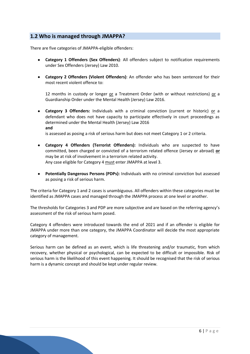#### **1.2 Who is managed through JMAPPA?**

There are five categories of JMAPPA-eligible offenders:

- **Category 1 Offenders (Sex Offenders)**: All offenders subject to notification requirements under Sex Offenders (Jersey) Law 2010.
- **Category 2 Offenders (Violent Offenders)**: An offender who has been sentenced for their most recent violent offence to:

12 months in custody or longer  $or a Treatment Order (with or without restrictions)  $\underline{or}$  a$ </u> Guardianship Order under the Mental Health (Jersey) Law 2016.

• **Category 3 Offenders:** Individuals with a criminal conviction (current or historic) or a defendant who does not have capacity to participate effectively in court proceedings as determined under the Mental Health (Jersey) Law 2016 **and** 

is assessed as posing a risk of serious harm but does not meet Category 1 or 2 criteria.

- **Category 4 Offenders (Terrorist Offenders):** Individuals who are suspected to have committed, been charged or convicted of a terrorism related offence (Jersey or abroad) **or**  may be at risk of involvement in a terrorism related activity. Any case eligible for Category 4 must enter JMAPPA at level 3.
- **Potentially Dangerous Persons (PDPs):** Individuals with no criminal conviction but assessed as posing a risk of serious harm.

The criteria for Category 1 and 2 cases is unambiguous. All offenders within these categories must be identified as JMAPPA cases and managed through the JMAPPA process at one level or another.

The thresholds for Categories 3 and PDP are more subjective and are based on the referring agency's assessment of the risk of serious harm posed.

Category 4 offenders were introduced towards the end of 2021 and if an offender is eligible for JMAPPA under more than one category, the JMAPPA Coordinator will decide the most appropriate category of management.

Serious harm can be defined as an event, which is life threatening and/or traumatic, from which recovery, whether physical or psychological, can be expected to be difficult or impossible. Risk of serious harm is the likelihood of this event happening. It should be recognised that the risk of serious harm is a dynamic concept and should be kept under regular review.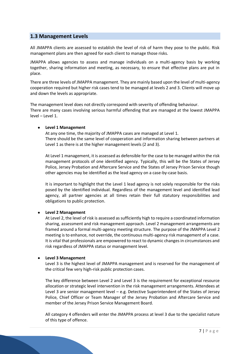#### **1.3 Management Levels**

All JMAPPA clients are assessed to establish the level of risk of harm they pose to the public. Risk management plans are then agreed for each client to manage those risks.

JMAPPA allows agencies to assess and manage individuals on a multi-agency basis by working together, sharing information and meeting, as necessary, to ensure that effective plans are put in place.

There are three levels of JMAPPA management. They are mainly based upon the level of multi-agency cooperation required but higher risk cases tend to be managed at levels 2 and 3. Clients will move up and down the levels as appropriate.

The management level does not directly correspond with severity of offending behaviour. There are many cases involving serious harmful offending that are managed at the lowest JMAPPA level – Level 1.

#### • **Level 1 Management**

At any one time, the majority of JMAPPA cases are managed at Level 1. There should be the same level of cooperation and information sharing between partners at Level 1 as there is at the higher management levels (2 and 3).

At Level 1 management, it is assessed as defensible for the case to be managed within the risk management protocols of one identified agency. Typically, this will be the States of Jersey Police, Jersey Probation and Aftercare Service and the States of Jersey Prison Service though other agencies may be identified as the lead agency on a case-by-case basis.

It is important to highlight that the Level 1 lead agency is not solely responsible for the risks posed by the identified individual. Regardless of the management level and identified lead agency, all partner agencies at all times retain their full statutory responsibilities and obligations to public protection.

#### • **Level 2 Management**

At Level 2, the level of risk is assessed as sufficiently high to require a coordinated information sharing, assessment and risk management approach. Level 2 management arrangements are framed around a formal multi-agency meeting structure. The purpose of the JMAPPA Level 2 meeting is to enhance, not override, the continuous multi-agency risk management of a case. It is vital that professionals are empowered to react to dynamic changes in circumstances and risk regardless of JMAPPA status or management level.

#### • **Level 3 Management**

Level 3 is the highest level of JMAPPA management and is reserved for the management of the critical few very high-risk public protection cases.

The key difference between Level 2 and Level 3 is the requirement for exceptional resource allocation or strategic level intervention in the risk management arrangements. Attendees at Level 3 are senior management level – e.g. Detective Superintendent of the States of Jersey Police, Chief Officer or Team Manager of the Jersey Probation and Aftercare Service and member of the Jersey Prison Service Management Board.

All category 4 offenders will enter the JMAPPA process at level 3 due to the specialist nature of this type of offence.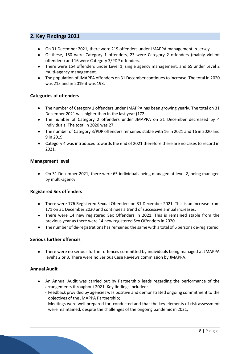#### **2. Key Findings 2021**

- On 31 December 2021, there were 219 offenders under JMAPPA management in Jersey.
- Of these, 180 were Category 1 offenders, 23 were Category 2 offenders (mainly violent offenders) and 16 were Category 3/PDP offenders.
- There were 154 offenders under Level 1, single agency management, and 65 under Level 2 multi-agency management.
- The population of JMAPPA offenders on 31 December continues to increase. The total in 2020 was 215 and in 2019 it was 193.

#### **Categories of offenders**

- The number of Category 1 offenders under JMAPPA has been growing yearly. The total on 31 December 2021 was higher than in the last year (172).
- The number of Category 2 offenders under JMAPPA on 31 December decreased by 4 individuals. The total in 2020 was 27.
- The number of Category 3/PDP offenders remained stable with 16 in 2021 and 16 in 2020 and 9 in 2019.
- Category 4 was introduced towards the end of 2021 therefore there are no cases to record in 2021.

#### **Management level**

• On 31 December 2021, there were 65 individuals being managed at level 2, being managed by multi-agency.

#### **Registered Sex offenders**

- There were 176 Registered Sexual Offenders on 31 December 2021. This is an increase from 171 on 31 December 2020 and continues a trend of successive annual increases.
- There were 14 new registered Sex Offenders in 2021. This is remained stable from the previous year as there were 14 new registered Sex Offenders in 2020.
- The number of de-registrations has remained the same with a total of 6 persons de-registered.

#### **Serious further offences**

• There were no serious further offences committed by individuals being managed at JMAPPA level's 2 or 3. There were no Serious Case Reviews commission by JMAPPA.

#### **Annual Audit**

- An Annual Audit was carried out by Partnership leads regarding the performance of the arrangements throughout 2021. Key findings included:
	- Feedback provided by agencies was positive and demonstrated ongoing commitment to the objectives of the JMAPPA Partnership;
	- Meetings were well prepared for, conducted and that the key elements of risk assessment were maintained, despite the challenges of the ongoing pandemic in 2021;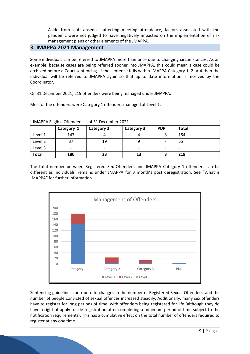- Aside from staff absences affecting meeting attendance, factors associated with the pandemic were not judged to have negatively impacted on the implementation of risk management plans or other elements of the JMAPPA.

#### **3. JMAPPA 2021 Management**

Some individuals can be referred to JMAPPA more than once due to changing circumstances. As an example, because cases are being referred sooner into JMAPPA, this could mean a case could be archived before a Court sentencing. If the sentence falls within JMAPPA Category 1, 2 or 4 then the individual will be referred to JMAPPA again so that up to date information is received by the Coordinator.

On 31 December 2021, 219 offenders were being managed under JMAPPA.

Most of the offenders were Category 1 offenders managed at Level 1.

| JMAPPA Eligible Offenders as of 31 December 2021 |            |                   |                   |                          |              |  |  |  |
|--------------------------------------------------|------------|-------------------|-------------------|--------------------------|--------------|--|--|--|
|                                                  | Category 1 | <b>Category 2</b> | <b>Category 3</b> | <b>PDP</b>               | <b>Total</b> |  |  |  |
| Level 1                                          | 143        |                   |                   |                          | 154          |  |  |  |
| Level 2                                          | 37         | 19                |                   | $\overline{\phantom{0}}$ | 65           |  |  |  |
| Level 3                                          | -          | -                 |                   | $\overline{\phantom{0}}$ |              |  |  |  |
| <b>Total</b>                                     | 180        | 23                | 13                |                          | 219          |  |  |  |

The total number between Registered Sex Offenders and JMAPPA Category 1 offenders can be different as individuals' remains under JMAPPA for 3 month's post deregistration. See "What is JMAPPA" for further information.



Sentencing guidelines contribute to changes in the number of Registered Sexual Offenders, and the number of people convicted of sexual offences increased steadily. Additionally, many sex offenders have to register for long periods of time, with offenders being registered for life (although they do have a right of apply for de-registration after completing a minimum period of time subject to the notification requirements). This has a cumulative effect on the total number of offenders required to register at any one time.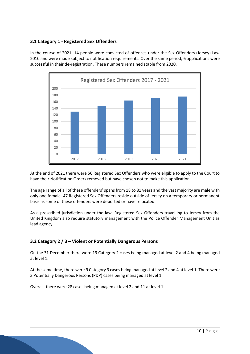#### **3.1 Category 1 - Registered Sex Offenders**

In the course of 2021, 14 people were convicted of offences under the Sex Offenders (Jersey) Law 2010 and were made subject to notification requirements. Over the same period, 6 applications were successful in their de-registration. These numbers remained stable from 2020.



At the end of 2021 there were 56 Registered Sex Offenders who were eligible to apply to the Court to have their Notification Orders removed but have chosen not to make this application.

The age range of all of these offenders' spans from 18 to 81 years and the vast majority are male with only one female. 47 Registered Sex Offenders reside outside of Jersey on a temporary or permanent basis as some of these offenders were deported or have relocated.

As a prescribed jurisdiction under the law, Registered Sex Offenders travelling to Jersey from the United Kingdom also require statutory management with the Police Offender Management Unit as lead agency.

#### **3.2 Category 2 / 3 – Violent or Potentially Dangerous Persons**

On the 31 December there were 19 Category 2 cases being managed at level 2 and 4 being managed at level 1.

At the same time, there were 9 Category 3 cases being managed at level 2 and 4 at level 1. There were 3 Potentially Dangerous Persons (PDP) cases being managed at level 1.

Overall, there were 28 cases being managed at level 2 and 11 at level 1.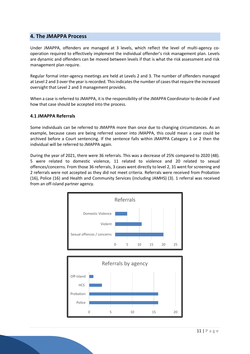#### **4. The JMAPPA Process**

Under JMAPPA, offenders are managed at 3 levels, which reflect the level of multi-agency cooperation required to effectively implement the individual offender's risk management plan. Levels are dynamic and offenders can be moved between levels if that is what the risk assessment and risk management plan require.

Regular formal inter-agency meetings are held at Levels 2 and 3. The number of offenders managed at Level 2 and 3 over the year is recorded. This indicates the number of cases that require the increased oversight that Level 2 and 3 management provides.

When a case is referred to JMAPPA, it is the responsibility of the JMAPPA Coordinator to decide if and how that case should be accepted into the process.

#### **4.1 JMAPPA Referrals**

Some individuals can be referred to JMAPPA more than once due to changing circumstances. As an example, because cases are being referred sooner into JMAPPA, this could mean a case could be archived before a Court sentencing. If the sentence falls within JMAPPA Category 1 or 2 then the individual will be referred to JMAPPA again.

During the year of 2021, there were 36 referrals. This was a decrease of 25% compared to 2020 (48). 5 were related to domestic violence, 11 related to violence and 20 related to sexual offences/concerns. From those 36 referrals, 3 cases went directly to level 2, 31 went for screening and 2 referrals were not accepted as they did not meet criteria. Referrals were received from Probation (16), Police (16) and Health and Community Services (including JAMHS) (3). 1 referral was received from an off-island partner agency.

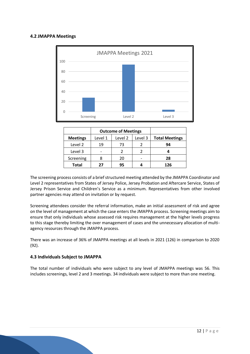#### **4.2 JMAPPA Meetings**



|                 |         | <b>Outcome of Meetings</b> |         |                       |
|-----------------|---------|----------------------------|---------|-----------------------|
| <b>Meetings</b> | Level 1 | Level 2                    | Level 3 | <b>Total Meetings</b> |
| Level 2         | 19      | 73                         |         | 94                    |
| Level 3         |         |                            |         |                       |
| Screening       |         | 20                         |         | 28                    |
| <b>Total</b>    | 27      | 95                         |         | 126                   |

The screening process consists of a brief structured meeting attended by the JMAPPA Coordinator and Level 2 representatives from States of Jersey Police, Jersey Probation and Aftercare Service, States of Jersey Prison Service and Children's Service as a minimum. Representatives from other involved partner agencies may attend on invitation or by request.

Screening attendees consider the referral information, make an initial assessment of risk and agree on the level of management at which the case enters the JMAPPA process. Screening meetings aim to ensure that only individuals whose assessed risk requires management at the higher levels progress to this stage thereby limiting the over management of cases and the unnecessary allocation of multiagency resources through the JMAPPA process.

There was an increase of 36% of JMAPPA meetings at all levels in 2021 (126) in comparison to 2020 (92).

#### **4.3 Individuals Subject to JMAPPA**

The total number of individuals who were subject to any level of JMAPPA meetings was 56. This includes screenings, level 2 and 3 meetings. 34 individuals were subject to more than one meeting.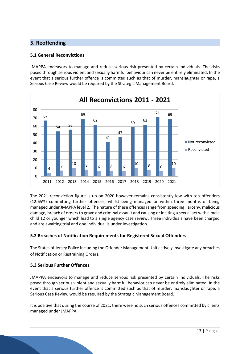#### **5. Reoffending**

#### **5.1 General Reconvictions**

JMAPPA endeavors to manage and reduce serious risk presented by certain individuals. The risks posed through serious violent and sexually harmful behaviour can never be entirely eliminated. In the event that a serious further offence is committed such as that of murder, manslaughter or rape, a Serious Case Review would be required by the Strategic Management Board.



The 2021 reconviction figure is up on 2020 however remains consistently low with ten offenders (12.65%) committing further offences, whilst being managed or within three months of being managed under JMAPPA level 2. The nature of these offences range from speeding, larceny, malicious damage, breach of orders to grave and criminal assault and causing or inciting a sexual act with a male child 12 or younger which lead to a single agency case review. Three individuals have been charged and are awaiting trial and one individual is under investigation.

#### **5.2 Breaches of Notification Requirements for Registered Sexual Offenders**

The States of Jersey Police including the Offender Management Unit actively investigate any breaches of Notification or Restraining Orders.

#### **5.3 Serious Further Offences**

JMAPPA endeavors to manage and reduce serious risk presented by certain individuals. The risks posed through serious violent and sexually harmful behavior can never be entirely eliminated. In the event that a serious further offence is committed such as that of murder, manslaughter or rape, a Serious Case Review would be required by the Strategic Management Board.

It is positive that during the course of 2021, there were no such serious offences committed by clients managed under JMAPPA.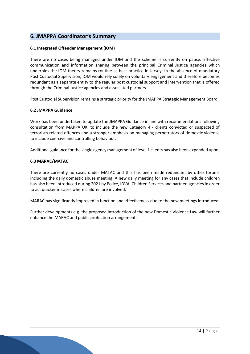#### **6. JMAPPA Coordinator's Summary**

#### **6.1 Integrated Offender Management (IOM)**

There are no cases being managed under IOM and the scheme is currently on pause. Effective communication and information sharing between the principal Criminal Justice agencies which underpins the IOM theory remains routine as best practice in Jersey. In the absence of mandatory Post Custodial Supervision, IOM would rely solely on voluntary engagement and therefore becomes redundant as a separate entity to the regular post custodial support and intervention that is offered through the Criminal Justice agencies and associated partners.

Post Custodial Supervision remains a strategic priority for the JMAPPA Strategic Management Board.

#### **6.2 JMAPPA Guidance**

Work has been undertaken to update the JMAPPA Guidance in line with recommendations following consultation from MAPPA UK, to include the new Category 4 - clients convicted or suspected of terrorism related offences and a stronger emphasis on managing perpetrators of domestic violence to include coercive and controlling behaviour.

Additional guidance for the single agency management of level 1 clients has also been expanded upon.

#### **6.3 MARAC/MATAC**

There are currently no cases under MATAC and this has been made redundant by other forums including the daily domestic abuse meeting. A new daily meeting for any cases that include children has also been introduced during 2021 by Police, IDVA, Children Services and partner agencies in order to act quicker in cases where children are involved.

MARAC has significantly improved in function and effectiveness due to the new meetings introduced.

Further developments e.g. the proposed introduction of the new Domestic Violence Law will further enhance the MARAC and public protection arrangements.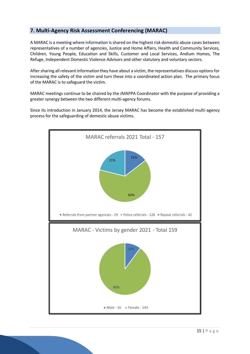#### **7. Multi-Agency Risk Assessment Conferencing (MARAC)**

A MARAC is a meeting where information is shared on the highest risk domestic abuse cases between representatives of a number of agencies, Justice and Home Affairs, Health and Community Services, Children, Young People, Education and Skills, Customer and Local Services, Andium Homes, The Refuge, Independent Domestic Violence Advisors and other statutory and voluntary sectors.

After sharing all relevant information they have about a victim, the representatives discuss options for increasing the safety of the victim and turn these into a coordinated action plan. The primary focus of the MARAC is to safeguard the victim.

MARAC meetings continue to be chaired by the JMAPPA Coordinator with the purpose of providing a greater synergy between the two different multi-agency forums.

Since its introduction in January 2014, the Jersey MARAC has become the established multi-agency process for the safeguarding of domestic abuse victims.